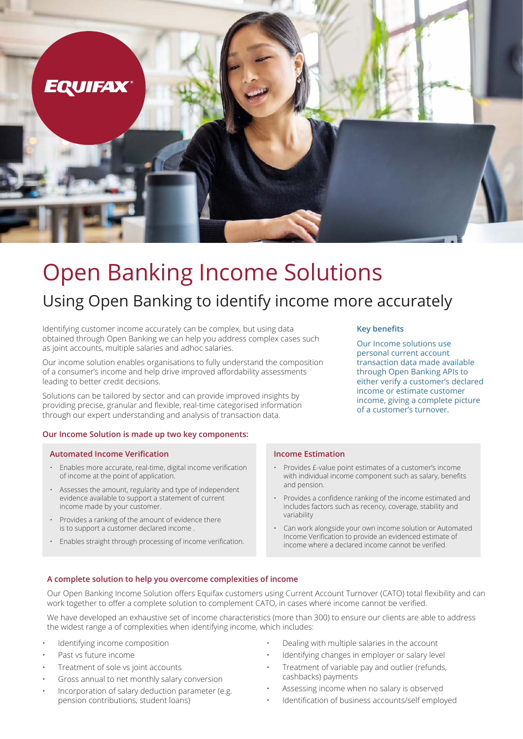

# Open Banking Income Solutions

# Using Open Banking to identify income more accurately

Identifying customer income accurately can be complex, but using data obtained through Open Banking we can help you address complex cases such as joint accounts, multiple salaries and adhoc salaries.

Our income solution enables organisations to fully understand the composition of a consumer's income and help drive improved affordability assessments leading to better credit decisions.

Solutions can be tailored by sector and can provide improved insights by providing precise, granular and flexible, real-time categorised information through our expert understanding and analysis of transaction data.

#### **Our Income Solution is made up two key components:**

#### **Automated Income Verification**

- Enables more accurate, real-time, digital income verification of income at the point of application.
- Assesses the amount, regularity and type of independent evidence available to support a statement of current income made by your customer.
- Provides a ranking of the amount of evidence there is to support a customer declared income .
- Enables straight through processing of income verification.

#### **Key benefits**

Our Income solutions use personal current account transaction data made available through Open Banking APIs to either verify a customer's declared income or estimate customer income, giving a complete picture of a customer's turnover.

#### **Income Estimation**

- Provides £-value point estimates of a customer's income with individual income component such as salary, benefits and pension.
- Provides a confidence ranking of the income estimated and includes factors such as recency, coverage, stability and variability
- Can work alongside your own income solution or Automated Income Verification to provide an evidenced estimate of income where a declared income cannot be verified.

#### **A complete solution to help you overcome complexities of income**

Our Open Banking Income Solution offers Equifax customers using Current Account Turnover (CATO) total flexibility and can work together to offer a complete solution to complement CATO, in cases where income cannot be verified.

We have developed an exhaustive set of income characteristics (more than 300) to ensure our clients are able to address the widest range a of complexities when identifying income, which includes:

- Identifying income composition
- Past vs future income
- Treatment of sole vs joint accounts
- Gross annual to net monthly salary conversion
- Incorporation of salary deduction parameter (e.g. pension contributions, student loans)
- Dealing with multiple salaries in the account
- Identifying changes in employer or salary level
- Treatment of variable pay and outlier (refunds, cashbacks) payments
- Assessing income when no salary is observed
- Identification of business accounts/self employed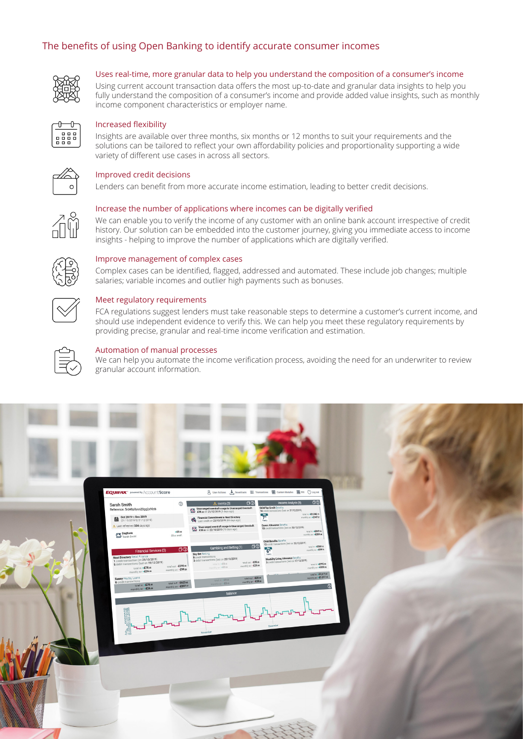#### The benefits of using Open Banking to identify accurate consumer incomes



#### Uses real-time, more granular data to help you understand the composition of a consumer's income

Using current account transaction data offers the most up-to-date and granular data insights to help you fully understand the composition of a consumer's income and provide added value insights, such as monthly income component characteristics or employer name.



#### Increased flexibility

Insights are available over three months, six months or 12 months to suit your requirements and the solutions can be tailored to reflect your own affordability policies and proportionality supporting a wide variety of different use cases in across all sectors.



#### Improved credit decisions

Lenders can benefit from more accurate income estimation, leading to better credit decisions.

#### Increase the number of applications where incomes can be digitally verified

We can enable you to verify the income of any customer with an online bank account irrespective of credit history. Our solution can be embedded into the customer journey, giving you immediate access to income insights - helping to improve the number of applications which are digitally verified.



#### Improve management of complex cases

Complex cases can be identified, flagged, addressed and automated. These include job changes; multiple salaries; variable incomes and outlier high payments such as bonuses.



#### Meet regulatory requirements

FCA regulations suggest lenders must take reasonable steps to determine a customer's current income, and should use independent evidence to verify this. We can help you meet these regulatory requirements by providing precise, granular and real-time income verification and estimation.



#### Automation of manual processes

We can help you automate the income verification process, avoiding the need for an underwriter to review granular account information.

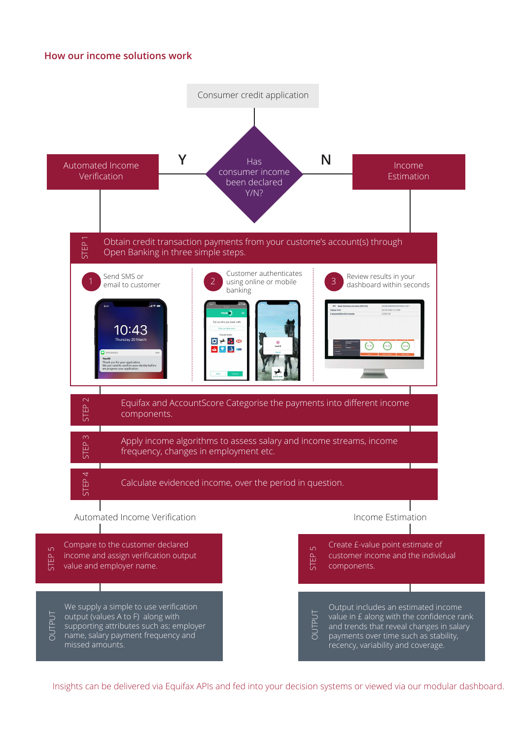#### **How our income solutions work**



Insights can be delivered via Equifax APIs and fed into your decision systems or viewed via our modular dashboard.